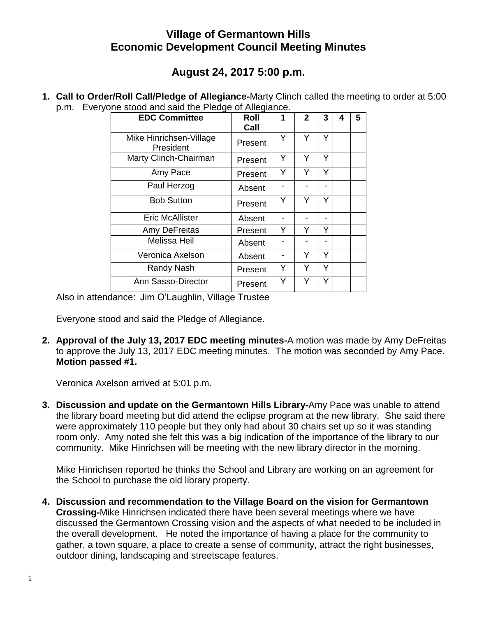## **Village of Germantown Hills Economic Development Council Meeting Minutes**

## **August 24, 2017 5:00 p.m.**

**1. Call to Order/Roll Call/Pledge of Allegiance-**Marty Clinch called the meeting to order at 5:00 p.m. Everyone stood and said the Pledge of Allegiance.

| <b>EDC Committee</b>                 | <b>Roll</b> | 1 | $\mathbf{2}$ | 3 | 4 | 5 |
|--------------------------------------|-------------|---|--------------|---|---|---|
|                                      | Call        |   |              |   |   |   |
| Mike Hinrichsen-Village<br>President | Present     | Y | Y            | Y |   |   |
| Marty Clinch-Chairman                | Present     | Y | Y            | Y |   |   |
| Amy Pace                             | Present     | Υ |              | Y |   |   |
| Paul Herzog                          | Absent      |   |              |   |   |   |
| <b>Bob Sutton</b>                    | Present     | Y | Y            | Y |   |   |
| <b>Eric McAllister</b>               | Absent      |   |              |   |   |   |
| Amy DeFreitas                        | Present     | Y | Y            | Y |   |   |
| Melissa Heil                         | Absent      |   |              |   |   |   |
| Veronica Axelson                     | Absent      |   | Y            | Y |   |   |
| Randy Nash                           | Present     | Y | Y            | Y |   |   |
| Ann Sasso-Director                   | Present     | Y | Y            | Υ |   |   |

Also in attendance: Jim O'Laughlin, Village Trustee

Everyone stood and said the Pledge of Allegiance.

**2. Approval of the July 13, 2017 EDC meeting minutes-**A motion was made by Amy DeFreitas to approve the July 13, 2017 EDC meeting minutes. The motion was seconded by Amy Pace. **Motion passed #1.**

Veronica Axelson arrived at 5:01 p.m.

**3. Discussion and update on the Germantown Hills Library-**Amy Pace was unable to attend the library board meeting but did attend the eclipse program at the new library. She said there were approximately 110 people but they only had about 30 chairs set up so it was standing room only. Amy noted she felt this was a big indication of the importance of the library to our community. Mike Hinrichsen will be meeting with the new library director in the morning.

Mike Hinrichsen reported he thinks the School and Library are working on an agreement for the School to purchase the old library property.

**4. Discussion and recommendation to the Village Board on the vision for Germantown Crossing-**Mike Hinrichsen indicated there have been several meetings where we have discussed the Germantown Crossing vision and the aspects of what needed to be included in the overall development. He noted the importance of having a place for the community to gather, a town square, a place to create a sense of community, attract the right businesses, outdoor dining, landscaping and streetscape features.